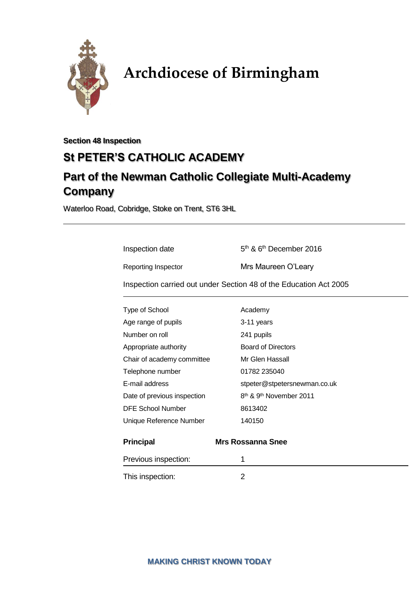

# **Archdiocese of Birmingham**

**Section 48 Inspection**

# **St PETER'S CATHOLIC ACADEMY**

# **Part of the Newman Catholic Collegiate Multi-Academy Company**

Waterloo Road, Cobridge, Stoke on Trent, ST6 3HL

Inspection date 5

 $5<sup>th</sup>$  &  $6<sup>th</sup>$  December 2016

Reporting Inspector Mrs Maureen O'Leary

Inspection carried out under Section 48 of the Education Act 2005

| Type of School              | Academy                                         |
|-----------------------------|-------------------------------------------------|
| Age range of pupils         | 3-11 years                                      |
| Number on roll              | 241 pupils                                      |
| Appropriate authority       | <b>Board of Directors</b>                       |
| Chair of academy committee  | Mr Glen Hassall                                 |
| Telephone number            | 01782 235040                                    |
| E-mail address              | stpeter@stpetersnewman.co.uk                    |
| Date of previous inspection | 8 <sup>th</sup> & 9 <sup>th</sup> November 2011 |
| <b>DFE School Number</b>    | 8613402                                         |
| Unique Reference Number     | 140150                                          |
| <b>Principal</b>            | <b>Mrs Rossanna Snee</b>                        |
| Previous inspection:        | 1                                               |
| This inspection:            | 2                                               |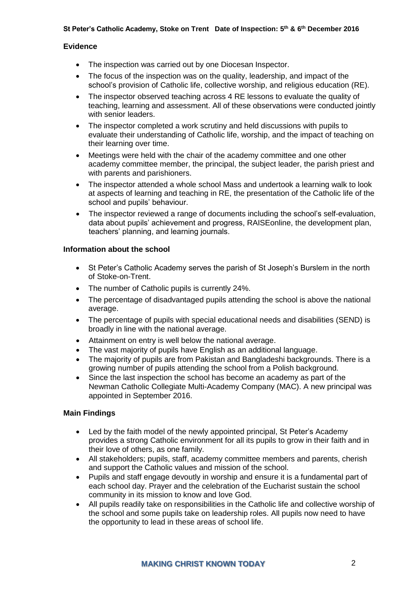#### **Evidence**

- The inspection was carried out by one Diocesan Inspector.
- The focus of the inspection was on the quality, leadership, and impact of the school's provision of Catholic life, collective worship, and religious education (RE).
- The inspector observed teaching across 4 RE lessons to evaluate the quality of teaching, learning and assessment. All of these observations were conducted jointly with senior leaders.
- The inspector completed a work scrutiny and held discussions with pupils to evaluate their understanding of Catholic life, worship, and the impact of teaching on their learning over time.
- Meetings were held with the chair of the academy committee and one other academy committee member, the principal, the subject leader, the parish priest and with parents and parishioners.
- The inspector attended a whole school Mass and undertook a learning walk to look at aspects of learning and teaching in RE, the presentation of the Catholic life of the school and pupils' behaviour.
- The inspector reviewed a range of documents including the school's self-evaluation, data about pupils' achievement and progress, RAISEonline, the development plan, teachers' planning, and learning journals.

#### **Information about the school**

- St Peter's Catholic Academy serves the parish of St Joseph's Burslem in the north of Stoke-on-Trent.
- The number of Catholic pupils is currently 24%.
- The percentage of disadvantaged pupils attending the school is above the national average.
- The percentage of pupils with special educational needs and disabilities (SEND) is broadly in line with the national average.
- Attainment on entry is well below the national average.
- The vast majority of pupils have English as an additional language.
- The majority of pupils are from Pakistan and Bangladeshi backgrounds. There is a growing number of pupils attending the school from a Polish background.
- Since the last inspection the school has become an academy as part of the Newman Catholic Collegiate Multi-Academy Company (MAC). A new principal was appointed in September 2016.

#### **Main Findings**

- Led by the faith model of the newly appointed principal, St Peter's Academy provides a strong Catholic environment for all its pupils to grow in their faith and in their love of others, as one family.
- All stakeholders; pupils, staff, academy committee members and parents, cherish and support the Catholic values and mission of the school.
- Pupils and staff engage devoutly in worship and ensure it is a fundamental part of each school day. Prayer and the celebration of the Eucharist sustain the school community in its mission to know and love God.
- All pupils readily take on responsibilities in the Catholic life and collective worship of the school and some pupils take on leadership roles. All pupils now need to have the opportunity to lead in these areas of school life.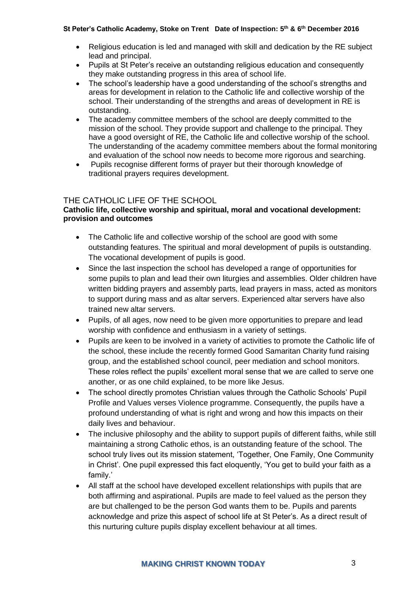- Religious education is led and managed with skill and dedication by the RE subject lead and principal.
- Pupils at St Peter's receive an outstanding religious education and consequently they make outstanding progress in this area of school life.
- The school's leadership have a good understanding of the school's strengths and areas for development in relation to the Catholic life and collective worship of the school. Their understanding of the strengths and areas of development in RE is outstanding.
- The academy committee members of the school are deeply committed to the mission of the school. They provide support and challenge to the principal. They have a good oversight of RE, the Catholic life and collective worship of the school. The understanding of the academy committee members about the formal monitoring and evaluation of the school now needs to become more rigorous and searching.
- Pupils recognise different forms of prayer but their thorough knowledge of traditional prayers requires development.

# THE CATHOLIC LIFE OF THE SCHOOL

#### **Catholic life, collective worship and spiritual, moral and vocational development: provision and outcomes**

- The Catholic life and collective worship of the school are good with some outstanding features. The spiritual and moral development of pupils is outstanding. The vocational development of pupils is good.
- Since the last inspection the school has developed a range of opportunities for some pupils to plan and lead their own liturgies and assemblies. Older children have written bidding prayers and assembly parts, lead prayers in mass, acted as monitors to support during mass and as altar servers. Experienced altar servers have also trained new altar servers.
- Pupils, of all ages, now need to be given more opportunities to prepare and lead worship with confidence and enthusiasm in a variety of settings.
- Pupils are keen to be involved in a variety of activities to promote the Catholic life of the school, these include the recently formed Good Samaritan Charity fund raising group, and the established school council, peer mediation and school monitors. These roles reflect the pupils' excellent moral sense that we are called to serve one another, or as one child explained, to be more like Jesus.
- The school directly promotes Christian values through the Catholic Schools' Pupil Profile and Values verses Violence programme. Consequently, the pupils have a profound understanding of what is right and wrong and how this impacts on their daily lives and behaviour.
- The inclusive philosophy and the ability to support pupils of different faiths, while still maintaining a strong Catholic ethos, is an outstanding feature of the school. The school truly lives out its mission statement, 'Together, One Family, One Community in Christ'. One pupil expressed this fact eloquently, 'You get to build your faith as a family.'
- All staff at the school have developed excellent relationships with pupils that are both affirming and aspirational. Pupils are made to feel valued as the person they are but challenged to be the person God wants them to be. Pupils and parents acknowledge and prize this aspect of school life at St Peter's. As a direct result of this nurturing culture pupils display excellent behaviour at all times.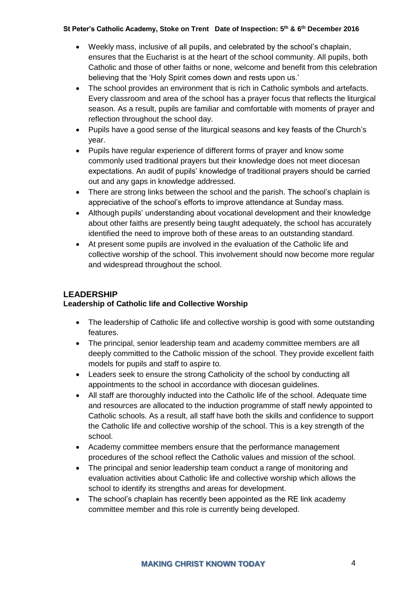- Weekly mass, inclusive of all pupils, and celebrated by the school's chaplain, ensures that the Eucharist is at the heart of the school community. All pupils, both Catholic and those of other faiths or none, welcome and benefit from this celebration believing that the 'Holy Spirit comes down and rests upon us.'
- The school provides an environment that is rich in Catholic symbols and artefacts. Every classroom and area of the school has a prayer focus that reflects the liturgical season. As a result, pupils are familiar and comfortable with moments of prayer and reflection throughout the school day.
- Pupils have a good sense of the liturgical seasons and key feasts of the Church's year.
- Pupils have regular experience of different forms of prayer and know some commonly used traditional prayers but their knowledge does not meet diocesan expectations. An audit of pupils' knowledge of traditional prayers should be carried out and any gaps in knowledge addressed.
- There are strong links between the school and the parish. The school's chaplain is appreciative of the school's efforts to improve attendance at Sunday mass.
- Although pupils' understanding about vocational development and their knowledge about other faiths are presently being taught adequately, the school has accurately identified the need to improve both of these areas to an outstanding standard.
- At present some pupils are involved in the evaluation of the Catholic life and collective worship of the school. This involvement should now become more regular and widespread throughout the school.

# **LEADERSHIP**

# **Leadership of Catholic life and Collective Worship**

- The leadership of Catholic life and collective worship is good with some outstanding features.
- The principal, senior leadership team and academy committee members are all deeply committed to the Catholic mission of the school. They provide excellent faith models for pupils and staff to aspire to.
- Leaders seek to ensure the strong Catholicity of the school by conducting all appointments to the school in accordance with diocesan guidelines.
- All staff are thoroughly inducted into the Catholic life of the school. Adequate time and resources are allocated to the induction programme of staff newly appointed to Catholic schools. As a result, all staff have both the skills and confidence to support the Catholic life and collective worship of the school. This is a key strength of the school.
- Academy committee members ensure that the performance management procedures of the school reflect the Catholic values and mission of the school.
- The principal and senior leadership team conduct a range of monitoring and evaluation activities about Catholic life and collective worship which allows the school to identify its strengths and areas for development.
- The school's chaplain has recently been appointed as the RE link academy committee member and this role is currently being developed.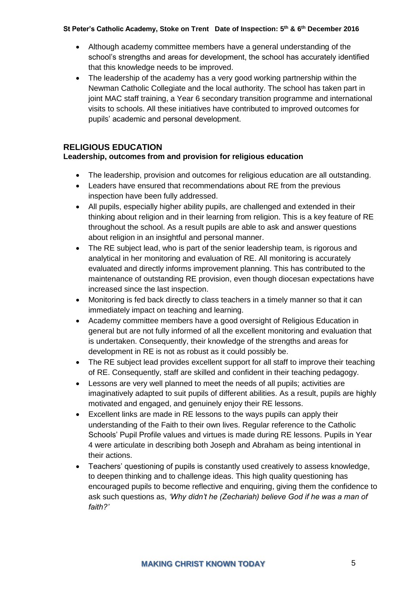- Although academy committee members have a general understanding of the school's strengths and areas for development, the school has accurately identified that this knowledge needs to be improved.
- The leadership of the academy has a very good working partnership within the Newman Catholic Collegiate and the local authority. The school has taken part in joint MAC staff training, a Year 6 secondary transition programme and international visits to schools. All these initiatives have contributed to improved outcomes for pupils' academic and personal development.

# **RELIGIOUS EDUCATION**

# **Leadership, outcomes from and provision for religious education**

- The leadership, provision and outcomes for religious education are all outstanding.
- Leaders have ensured that recommendations about RE from the previous inspection have been fully addressed.
- All pupils, especially higher ability pupils, are challenged and extended in their thinking about religion and in their learning from religion. This is a key feature of RE throughout the school. As a result pupils are able to ask and answer questions about religion in an insightful and personal manner.
- The RE subject lead, who is part of the senior leadership team, is rigorous and analytical in her monitoring and evaluation of RE. All monitoring is accurately evaluated and directly informs improvement planning. This has contributed to the maintenance of outstanding RE provision, even though diocesan expectations have increased since the last inspection.
- Monitoring is fed back directly to class teachers in a timely manner so that it can immediately impact on teaching and learning.
- Academy committee members have a good oversight of Religious Education in general but are not fully informed of all the excellent monitoring and evaluation that is undertaken. Consequently, their knowledge of the strengths and areas for development in RE is not as robust as it could possibly be.
- The RE subject lead provides excellent support for all staff to improve their teaching of RE. Consequently, staff are skilled and confident in their teaching pedagogy.
- Lessons are very well planned to meet the needs of all pupils; activities are imaginatively adapted to suit pupils of different abilities. As a result, pupils are highly motivated and engaged, and genuinely enjoy their RE lessons.
- Excellent links are made in RE lessons to the ways pupils can apply their understanding of the Faith to their own lives. Regular reference to the Catholic Schools' Pupil Profile values and virtues is made during RE lessons. Pupils in Year 4 were articulate in describing both Joseph and Abraham as being intentional in their actions.
- Teachers' questioning of pupils is constantly used creatively to assess knowledge, to deepen thinking and to challenge ideas. This high quality questioning has encouraged pupils to become reflective and enquiring, giving them the confidence to ask such questions as, *'Why didn't he (Zechariah) believe God if he was a man of faith?'*